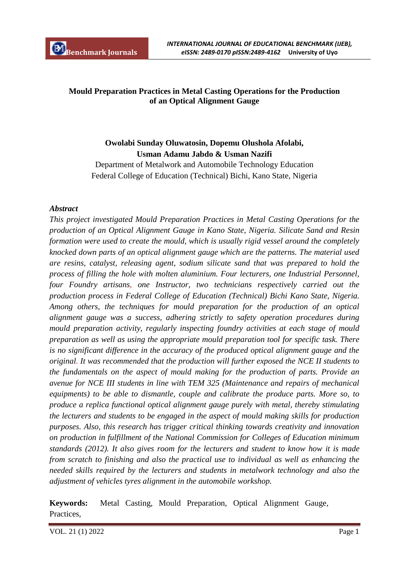## **Mould Preparation Practices in Metal Casting Operations for the Production of an Optical Alignment Gauge**

# **Owolabi Sunday Oluwatosin, Dopemu Olushola Afolabi, Usman Adamu Jabdo & Usman Nazifi**

Department of Metalwork and Automobile Technology Education Federal College of Education (Technical) Bichi, Kano State, Nigeria

#### *Abstract*

*This project investigated Mould Preparation Practices in Metal Casting Operations for the production of an Optical Alignment Gauge in Kano State, Nigeria. Silicate Sand and Resin formation were used to create the mould, which is usually rigid vessel around the completely knocked down parts of an optical alignment gauge which are the patterns. The material used are resins, catalyst, releasing agent, sodium silicate sand that was prepared to hold the process of filling the hole with molten aluminium. Four lecturers, one Industrial Personnel, four Foundry artisans, one Instructor, two technicians respectively carried out the production process in Federal College of Education (Technical) Bichi Kano State, Nigeria. Among others, the techniques for mould preparation for the production of an optical alignment gauge was a success, adhering strictly to safety operation procedures during mould preparation activity, regularly inspecting foundry activities at each stage of mould preparation as well as using the appropriate mould preparation tool for specific task. There is no significant difference in the accuracy of the produced optical alignment gauge and the original. It was recommended that the production will further exposed the NCE II students to the fundamentals on the aspect of mould making for the production of parts. Provide an avenue for NCE III students in line with TEM 325 (Maintenance and repairs of mechanical equipments) to be able to dismantle, couple and calibrate the produce parts. More so, to produce a replica functional optical alignment gauge purely with metal, thereby stimulating the lecturers and students to be engaged in the aspect of mould making skills for production purposes. Also, this research has trigger critical thinking towards creativity and innovation on production in fulfillment of the National Commission for Colleges of Education minimum standards (2012). It also gives room for the lecturers and student to know how it is made from scratch to finishing and also the practical use to individual as well as enhancing the needed skills required by the lecturers and students in metalwork technology and also the adjustment of vehicles tyres alignment in the automobile workshop.*

**Keywords:** Metal Casting, Mould Preparation, Optical Alignment Gauge, Practices,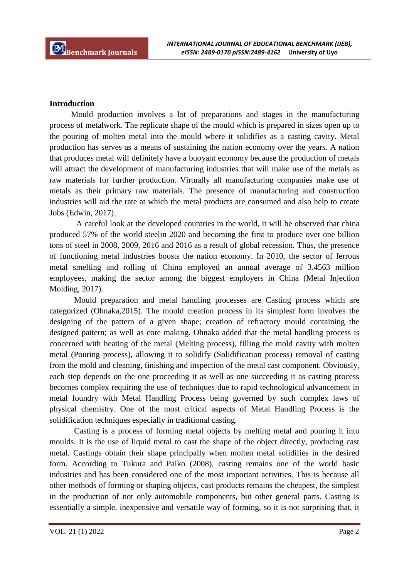#### **Introduction**

Mould production involves a lot of preparations and stages in the manufacturing process of metalwork. The replicate shape of the mould which is prepared in sizes open up to the pouring of molten metal into the mould where it solidifies as a casting cavity. Metal production has serves as a means of sustaining the nation economy over the years. A nation that produces metal will definitely have a buoyant economy because the production of metals will attract the development of manufacturing industries that will make use of the metals as raw materials for further production. Virtually all manufacturing companies make use of metals as their primary raw materials. The presence of manufacturing and construction industries will aid the rate at which the metal products are consumed and also help to create Jobs (Edwin, 2017).

A careful look at the developed countries in the world, it will be observed that china produced 57% of the world steelin 2020 and becoming the first to produce over one billion tons of steel in 2008, 2009, 2016 and 2016 as a result of global recession. Thus, the presence of functioning metal industries boosts the nation economy. In 2010, the sector of ferrous metal smelting and rolling of China employed an annual average of 3.4563 million employees, making the sector among the biggest employers in China (Metal Injection Molding, 2017).

Mould preparation and metal handling processes are Casting process which are categorized (Ohnaka,2015). The mould creation process in its simplest form involves the designing of the pattern of a given shape; creation of refractory mould containing the designed pattern; as well as core making. Ohnaka added that the metal handling process is concerned with heating of the metal (Melting process), filling the mold cavity with molten metal (Pouring process), allowing it to solidify (Solidification process) removal of casting from the mold and cleaning, finishing and inspection of the metal cast component. Obviously, each step depends on the one proceeding it as well as one succeeding it as casting process becomes complex requiring the use of techniques due to rapid technological advancement in metal foundry with Metal Handling Process being governed by such complex laws of physical chemistry. One of the most critical aspects of Metal Handling Process is the solidification techniques especially in traditional casting.

Casting is a process of forming metal objects by melting metal and pouring it into moulds. It is the use of liquid metal to cast the shape of the object directly, producing cast metal. Castings obtain their shape principally when molten metal solidifies in the desired form. According to Tukura and Paiko (2008), casting remains one of the world basic industries and has been considered one of the most important activities. This is because all other methods of forming or shaping objects, cast products remains the cheapest, the simplest in the production of not only automobile components, but other general parts. Casting is essentially a simple, inexpensive and versatile way of forming, so it is not surprising that, it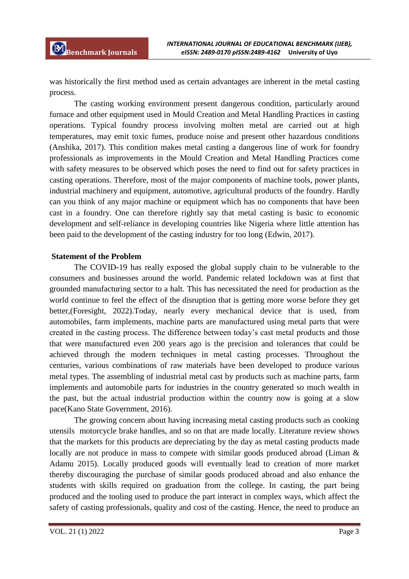was historically the first method used as certain advantages are inherent in the metal casting process.

The casting working environment present dangerous condition, particularly around furnace and other equipment used in Mould Creation and Metal Handling Practices in casting operations. Typical foundry process involving molten metal are carried out at high temperatures, may emit toxic fumes, produce noise and present other hazardous conditions (Anshika, 2017). This condition makes metal casting a dangerous line of work for foundry professionals as improvements in the Mould Creation and Metal Handling Practices come with safety measures to be observed which poses the need to find out for safety practices in casting operations. Therefore, most of the major components of machine tools, power plants, industrial machinery and equipment, automotive, agricultural products of the foundry. Hardly can you think of any major machine or equipment which has no components that have been cast in a foundry. One can therefore rightly say that metal casting is basic to economic development and self-reliance in developing countries like Nigeria where little attention has been paid to the development of the casting industry for too long (Edwin, 2017).

#### **Statement of the Problem**

The COVID-19 has really exposed the global supply chain to be vulnerable to the consumers and businesses around the world. Pandemic related lockdown was at first that grounded manufacturing sector to a halt. This has necessitated the need for production as the world continue to feel the effect of the disruption that is getting more worse before they get better,(Foresight, 2022).Today, nearly every mechanical device that is used, from automobiles, farm implements, machine parts are manufactured using metal parts that were created in the casting process. The difference between today's cast metal products and those that were manufactured even 200 years ago is the precision and tolerances that could be achieved through the modern techniques in metal casting processes. Throughout the centuries, various combinations of raw materials have been developed to produce various metal types. The assembling of industrial metal cast by products such as machine parts, farm implements and automobile parts for industries in the country generated so much wealth in the past, but the actual industrial production within the country now is going at a slow pace(Kano State Government, 2016).

The growing concern about having increasing metal casting products such as cooking utensils motorcycle brake handles, and so on that are made locally. Literature review shows that the markets for this products are depreciating by the day as metal casting products made locally are not produce in mass to compete with similar goods produced abroad (Liman & Adamu 2015). Locally produced goods will eventually lead to creation of more market thereby discouraging the purchase of similar goods produced abroad and also enhance the students with skills required on graduation from the college. In casting, the part being produced and the tooling used to produce the part interact in complex ways, which affect the safety of casting professionals, quality and cost of the casting. Hence, the need to produce an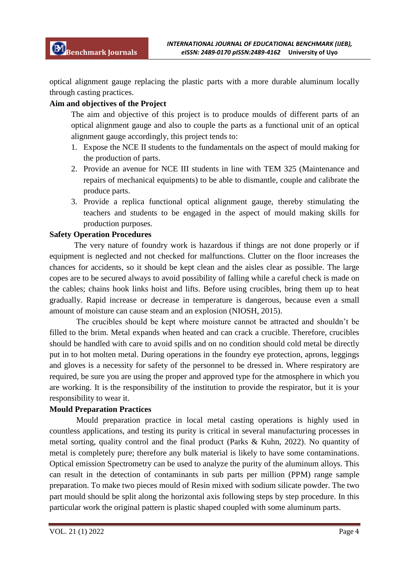optical alignment gauge replacing the plastic parts with a more durable aluminum locally through casting practices.

## **Aim and objectives of the Project**

The aim and objective of this project is to produce moulds of different parts of an optical alignment gauge and also to couple the parts as a functional unit of an optical alignment gauge accordingly, this project tends to:

- 1. Expose the NCE II students to the fundamentals on the aspect of mould making for the production of parts.
- 2. Provide an avenue for NCE III students in line with TEM 325 (Maintenance and repairs of mechanical equipments) to be able to dismantle, couple and calibrate the produce parts.
- 3. Provide a replica functional optical alignment gauge, thereby stimulating the teachers and students to be engaged in the aspect of mould making skills for production purposes.

## **Safety Operation Procedures**

The very nature of foundry work is hazardous if things are not done properly or if equipment is neglected and not checked for malfunctions. Clutter on the floor increases the chances for accidents, so it should be kept clean and the aisles clear as possible. The large copes are to be secured always to avoid possibility of falling while a careful check is made on the cables; chains hook links hoist and lifts. Before using crucibles, bring them up to heat gradually. Rapid increase or decrease in temperature is dangerous, because even a small amount of moisture can cause steam and an explosion (NIOSH, 2015).

The crucibles should be kept where moisture cannot be attracted and shouldn't be filled to the brim. Metal expands when heated and can crack a crucible. Therefore, crucibles should be handled with care to avoid spills and on no condition should cold metal be directly put in to hot molten metal. During operations in the foundry eye protection, aprons, leggings and gloves is a necessity for safety of the personnel to be dressed in. Where respiratory are required, be sure you are using the proper and approved type for the atmosphere in which you are working. It is the responsibility of the institution to provide the respirator, but it is your responsibility to wear it.

## **Mould Preparation Practices**

Mould preparation practice in local metal casting operations is highly used in countless applications, and testing its purity is critical in several manufacturing processes in metal sorting, quality control and the final product (Parks & Kuhn, 2022). No quantity of metal is completely pure; therefore any bulk material is likely to have some contaminations. Optical emission Spectrometry can be used to analyze the purity of the aluminum alloys. This can result in the detection of contaminants in sub parts per million (PPM) range sample preparation. To make two pieces mould of Resin mixed with sodium silicate powder. The two part mould should be split along the horizontal axis following steps by step procedure. In this particular work the original pattern is plastic shaped coupled with some aluminum parts.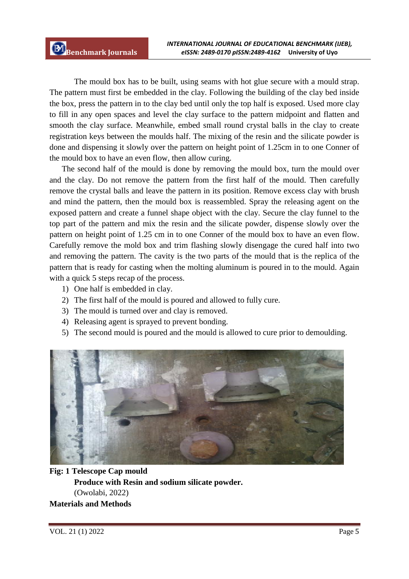The mould box has to be built, using seams with hot glue secure with a mould strap. The pattern must first be embedded in the clay. Following the building of the clay bed inside the box, press the pattern in to the clay bed until only the top half is exposed. Used more clay to fill in any open spaces and level the clay surface to the pattern midpoint and flatten and smooth the clay surface. Meanwhile, embed small round crystal balls in the clay to create registration keys between the moulds half. The mixing of the resin and the silicate powder is done and dispensing it slowly over the pattern on height point of 1.25cm in to one Conner of the mould box to have an even flow, then allow curing.

The second half of the mould is done by removing the mould box, turn the mould over and the clay. Do not remove the pattern from the first half of the mould. Then carefully remove the crystal balls and leave the pattern in its position. Remove excess clay with brush and mind the pattern, then the mould box is reassembled. Spray the releasing agent on the exposed pattern and create a funnel shape object with the clay. Secure the clay funnel to the top part of the pattern and mix the resin and the silicate powder, dispense slowly over the pattern on height point of 1.25 cm in to one Conner of the mould box to have an even flow. Carefully remove the mold box and trim flashing slowly disengage the cured half into two and removing the pattern. The cavity is the two parts of the mould that is the replica of the pattern that is ready for casting when the molting aluminum is poured in to the mould. Again with a quick 5 steps recap of the process.

- 1) One half is embedded in clay.
- 2) The first half of the mould is poured and allowed to fully cure.
- 3) The mould is turned over and clay is removed.
- 4) Releasing agent is sprayed to prevent bonding.
- 5) The second mould is poured and the mould is allowed to cure prior to demoulding.



**Fig: 1 Telescope Cap mould Produce with Resin and sodium silicate powder.** (Owolabi, 2022)

**Materials and Methods**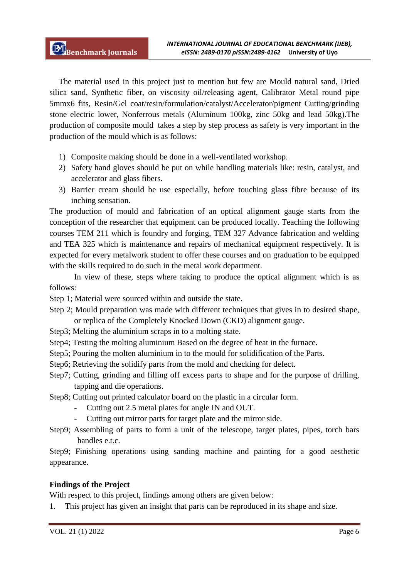The material used in this project just to mention but few are Mould natural sand, Dried silica sand, Synthetic fiber, on viscosity oil/releasing agent, Calibrator Metal round pipe 5mmx6 fits, Resin/Gel coat/resin/formulation/catalyst/Accelerator/pigment Cutting/grinding stone electric lower, Nonferrous metals (Aluminum 100kg, zinc 50kg and lead 50kg).The production of composite mould takes a step by step process as safety is very important in the production of the mould which is as follows:

- 1) Composite making should be done in a well-ventilated workshop.
- 2) Safety hand gloves should be put on while handling materials like: resin, catalyst, and accelerator and glass fibers.
- 3) Barrier cream should be use especially, before touching glass fibre because of its inching sensation.

The production of mould and fabrication of an optical alignment gauge starts from the conception of the researcher that equipment can be produced locally. Teaching the following courses TEM 211 which is foundry and forging, TEM 327 Advance fabrication and welding and TEA 325 which is maintenance and repairs of mechanical equipment respectively. It is expected for every metalwork student to offer these courses and on graduation to be equipped with the skills required to do such in the metal work department.

In view of these, steps where taking to produce the optical alignment which is as follows:

- Step 1; Material were sourced within and outside the state.
- Step 2; Mould preparation was made with different techniques that gives in to desired shape, or replica of the Completely Knocked Down (CKD) alignment gauge.
- Step3; Melting the aluminium scraps in to a molting state.
- Step4; Testing the molting aluminium Based on the degree of heat in the furnace.
- Step5; Pouring the molten aluminium in to the mould for solidification of the Parts.
- Step6; Retrieving the solidify parts from the mold and checking for defect.
- Step7; Cutting, grinding and filling off excess parts to shape and for the purpose of drilling, tapping and die operations.
- Step8; Cutting out printed calculator board on the plastic in a circular form.
	- Cutting out 2.5 metal plates for angle IN and OUT.
	- Cutting out mirror parts for target plate and the mirror side.
- Step9; Assembling of parts to form a unit of the telescope, target plates, pipes, torch bars handles e.t.c.

Step9; Finishing operations using sanding machine and painting for a good aesthetic appearance.

## **Findings of the Project**

With respect to this project, findings among others are given below:

1. This project has given an insight that parts can be reproduced in its shape and size.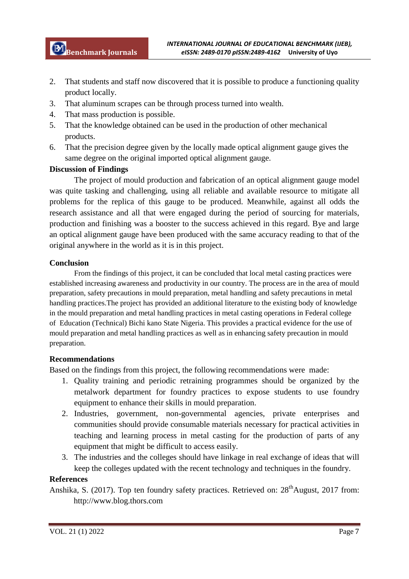- 2. That students and staff now discovered that it is possible to produce a functioning quality product locally.
- 3. That aluminum scrapes can be through process turned into wealth.
- 4. That mass production is possible.
- 5. That the knowledge obtained can be used in the production of other mechanical products.
- 6. That the precision degree given by the locally made optical alignment gauge gives the same degree on the original imported optical alignment gauge.

## **Discussion of Findings**

The project of mould production and fabrication of an optical alignment gauge model was quite tasking and challenging, using all reliable and available resource to mitigate all problems for the replica of this gauge to be produced. Meanwhile, against all odds the research assistance and all that were engaged during the period of sourcing for materials, production and finishing was a booster to the success achieved in this regard. Bye and large an optical alignment gauge have been produced with the same accuracy reading to that of the original anywhere in the world as it is in this project.

#### **Conclusion**

From the findings of this project, it can be concluded that local metal casting practices were established increasing awareness and productivity in our country. The process are in the area of mould preparation, safety precautions in mould preparation, metal handling and safety precautions in metal handling practices.The project has provided an additional literature to the existing body of knowledge in the mould preparation and metal handling practices in metal casting operations in Federal college of Education (Technical) Bichi kano State Nigeria. This provides a practical evidence for the use of mould preparation and metal handling practices as well as in enhancing safety precaution in mould preparation.

#### **Recommendations**

Based on the findings from this project, the following recommendations were made:

- 1. Quality training and periodic retraining programmes should be organized by the metalwork department for foundry practices to expose students to use foundry equipment to enhance their skills in mould preparation.
- 2. Industries, government, non-governmental agencies, private enterprises and communities should provide consumable materials necessary for practical activities in teaching and learning process in metal casting for the production of parts of any equipment that might be difficult to access easily.
- 3. The industries and the colleges should have linkage in real exchange of ideas that will keep the colleges updated with the recent technology and techniques in the foundry.

## **References**

Anshika, S. (2017). Top ten foundry safety practices. Retrieved on: 28<sup>th</sup>August, 2017 from: http://www.blog.thors.com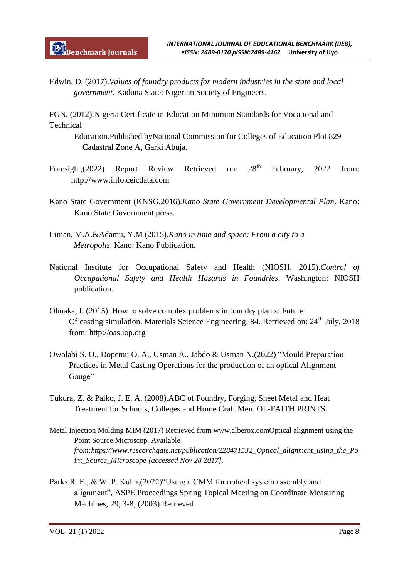Edwin, D. (2017).*Values of foundry products for modern industries in the state and local government.* Kaduna State: Nigerian Society of Engineers.

FGN, (2012).Nigeria Certificate in Education Minimum Standards for Vocational and Technical

Education.Published byNational Commission for Colleges of Education Plot 829 Cadastral Zone A, Garki Abuja.

- Foresight,(2022) Report Review Retrieved on: 28<sup>th</sup> February, 2022 from: http://www.info.ceicdata.com
- Kano State Government (KNSG,2016).*Kano State Government Developmental Plan*. Kano: Kano State Government press.
- Liman, M.A.&Adamu, Y.M (2015).*Kano in time and space: From a city to a Metropolis*. Kano: Kano Publication.
- National Institute for Occupational Safety and Health (NIOSH, 2015).*Control of Occupational Safety and Health Hazards in Foundries*. Washington: NIOSH publication.
- Ohnaka, I. (2015). How to solve complex problems in foundry plants: Future Of casting simulation. Materials Science Engineering. 84. Retrieved on: 24<sup>th</sup> July, 2018 from: http://oas.iop.org
- Owolabi S. O., Dopemu O. A,. Usman A., Jabdo & Usman N.(2022) "Mould Preparation Practices in Metal Casting Operations for the production of an optical Alignment Gauge"
- Tukura, Z. & Paiko, J. E. A. (2008).ABC of Foundry, Forging, Sheet Metal and Heat Treatment for Schools, Colleges and Home Craft Men. OL-FAITH PRINTS.
- Metal Injection Molding MIM (2017) Retrieved from www.alberox.comOptical alignment using the Point Source Microscop. Available *from:https://www.researchgate.net/publication/228471532\_Optical\_alignment\_using\_the\_Po int\_Source\_Microscope [accessed Nov 28 2017].*
- Parks R. E., & W. P. Kuhn,(2022)"Using a CMM for optical system assembly and alignment", ASPE Proceedings Spring Topical Meeting on Coordinate Measuring Machines, 29, 3-8, (2003) Retrieved